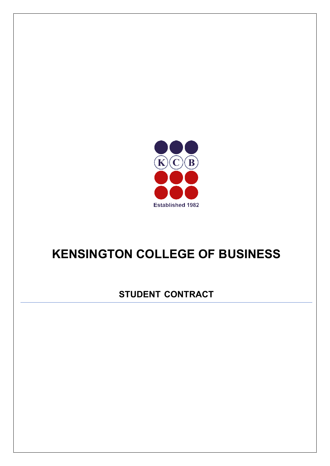

# **KENSINGTON COLLEGE OF BUSINESS**

# **STUDENT CONTRACT**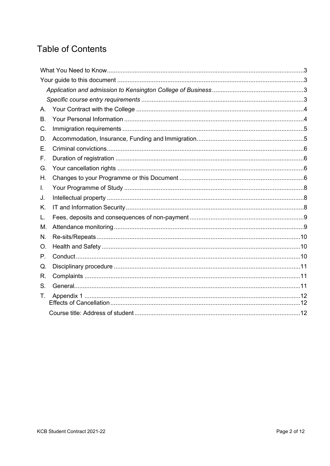# **Table of Contents**

| А. |  |  |
|----|--|--|
| В. |  |  |
| C. |  |  |
| D. |  |  |
| Е. |  |  |
| F. |  |  |
| G. |  |  |
| Η. |  |  |
| L. |  |  |
| J. |  |  |
| K. |  |  |
| L. |  |  |
| M. |  |  |
| N. |  |  |
| O. |  |  |
| Ρ. |  |  |
| Q. |  |  |
| R. |  |  |
| S. |  |  |
| Τ. |  |  |
|    |  |  |
|    |  |  |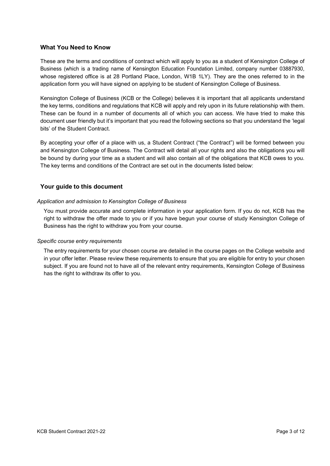#### <span id="page-2-0"></span>**What You Need to Know**

These are the terms and conditions of contract which will apply to you as a student of Kensington College of Business (which is a trading name of Kensington Education Foundation Limited, company number 03887930, whose registered office is at 28 Portland Place, London, W1B 1LY). They are the ones referred to in the application form you will have signed on applying to be student of Kensington College of Business.

Kensington College of Business (KCB or the College) believes it is important that all applicants understand the key terms, conditions and regulations that KCB will apply and rely upon in its future relationship with them. These can be found in a number of documents all of which you can access. We have tried to make this document user friendly but it's important that you read the following sections so that you understand the 'legal bits' of the Student Contract.

By accepting your offer of a place with us, a Student Contract ("the Contract") will be formed between you and Kensington College of Business. The Contract will detail all your rights and also the obligations you will be bound by during your time as a student and will also contain all of the obligations that KCB owes to you. The key terms and conditions of the Contract are set out in the documents listed below:

# <span id="page-2-1"></span>**Your guide to this document**

#### <span id="page-2-2"></span>*Application and admission to Kensington College of Business*

You must provide accurate and complete information in your application form. If you do not, KCB has the right to withdraw the offer made to you or if you have begun your course of study Kensington College of Business has the right to withdraw you from your course.

#### <span id="page-2-3"></span>*Specific course entry requirements*

The entry requirements for your chosen course are detailed in the course pages on the College website and in your offer letter. Please review these requirements to ensure that you are eligible for entry to your chosen subject. If you are found not to have all of the relevant entry requirements, Kensington College of Business has the right to withdraw its offer to you.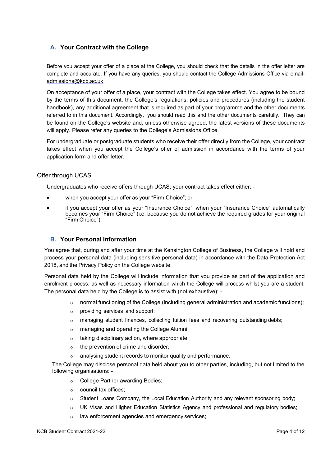# <span id="page-3-0"></span>**A. Your Contract with the College**

Before you accept your offer of a place at the College, you should check that the details in the offer letter are complete and accurate. If you have any queries, you should contact the College Admissions Office via email[admissions@kcb.ac.uk](mailto:admissions@kcb.ac.uk)

On acceptance of your offer of a place, your contract with the College takes effect. You agree to be bound by the terms of this document, the College's regulations, policies and procedures (including the student handbook), any additional agreement that is required as part of your programme and the other documents referred to in this document. Accordingly, you should read this and the other documents carefully. They can be found on the College's website and, unless otherwise agreed, the latest versions of these documents will apply. Please refer any queries to the College's Admissions Office.

For undergraduate or postgraduate students who receive their offer directly from the College, your contract takes effect when you accept the College's offer of admission in accordance with the terms of your application form and offer letter.

#### Offer through UCAS

Undergraduates who receive offers through UCAS; your contract takes effect either: -

- when you accept your offer as your "Firm Choice"; or
- if you accept your offer as your "Insurance Choice", when your "Insurance Choice" automatically becomes your "Firm Choice" (i.e. because you do not achieve the required grades for your original "Firm Choice").

# **B. Your Personal Information**

<span id="page-3-1"></span>You agree that, during and after your time at the Kensington College of Business, the College will hold and process your personal data (including sensitive personal data) in accordance with the Data Protection Act 2018, and the Privacy Policy on the College website.

Personal data held by the College will include information that you provide as part of the application and enrolment process, as well as necessary information which the College will process whilst you are a student. The personal data held by the College is to assist with (not exhaustive): -

- $\circ$  normal functioning of the College (including general administration and academic functions);
- o providing services and support;
- $\circ$  managing student finances, collecting tuition fees and recovering outstanding debts;
- o managing and operating the College Alumni
- o taking disciplinary action, where appropriate;
- o the prevention of crime and disorder;
- o analysing student records to monitor quality and performance.

The College may disclose personal data held about you to other parties, including, but not limited to the following organisations: -

- o College Partner awarding Bodies;
- o council tax offices;
- $\circ$  Student Loans Company, the Local Education Authority and any relevant sponsoring body;
- o UK Visas and Higher Education Statistics Agency and professional and regulatory bodies;
- o law enforcement agencies and emergency services;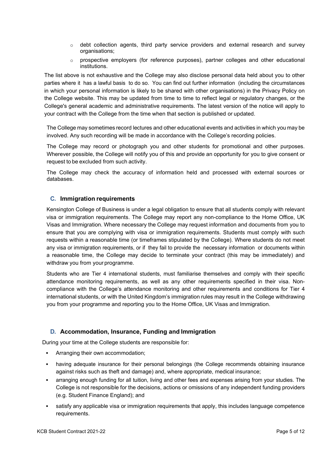- $\circ$  debt collection agents, third party service providers and external research and survey organisations;
- $\circ$  prospective employers (for reference purposes), partner colleges and other educational institutions.

The list above is not exhaustive and the College may also disclose personal data held about you to other parties where it has a lawful basis to do so. You can find out further information (including the circumstances in which your personal information is likely to be shared with other organisations) in the Privacy Policy on the College website. This may be updated from time to time to reflect legal or regulatory changes, or the College's general academic and administrative requirements. The latest version of the notice will apply to your contract with the College from the time when that section is published or updated.

The College may sometimes record lectures and other educational events and activities in which you may be involved. Any such recording will be made in accordance with the College's recording policies.

The College may record or photograph you and other students for promotional and other purposes. Wherever possible, the College will notify you of this and provide an opportunity for you to give consent or request to be excluded from such activity.

The College may check the accuracy of information held and processed with external sources or databases.

# <span id="page-4-0"></span>**C. Immigration requirements**

Kensington College of Business is under a legal obligation to ensure that all students comply with relevant visa or immigration requirements. The College may report any non-compliance to the Home Office, UK Visas and Immigration. Where necessary the College may request information and documents from you to ensure that you are complying with visa or immigration requirements. Students must comply with such requests within a reasonable time (or timeframes stipulated by the College). Where students do not meet any visa or immigration requirements, or if they fail to provide the necessary information or documents within a reasonable time, the College may decide to terminate your contract (this may be immediately) and withdraw you from your programme.

Students who are Tier 4 international students, must familiarise themselves and comply with their specific attendance monitoring requirements, as well as any other requirements specified in their visa. Noncompliance with the College's attendance monitoring and other requirements and conditions for Tier 4 international students, or with the United Kingdom's immigration rules may result in the College withdrawing you from your programme and reporting you to the Home Office, UK Visas and Immigration.

#### <span id="page-4-1"></span>**D. Accommodation, Insurance, Funding and Immigration**

During your time at the College students are responsible for:

- Arranging their own accommodation;
- having adequate insurance for their personal belongings (the College recommends obtaining insurance against risks such as theft and damage) and, where appropriate, medical insurance;
- arranging enough funding for all tuition, living and other fees and expenses arising from your studies. The College is not responsible for the decisions, actions or omissions of any independent funding providers (e.g. Student Finance England); and
- satisfy any applicable visa or immigration requirements that apply, this includes language competence requirements.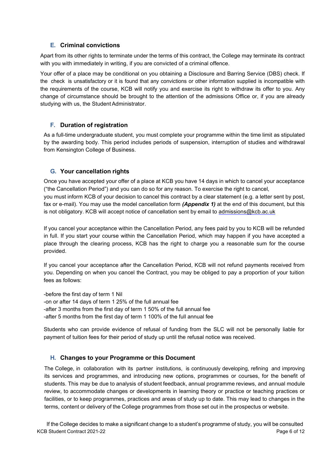# **E. Criminal convictions**

<span id="page-5-0"></span>Apart from its other rights to terminate under the terms of this contract, the College may terminate its contract with you with immediately in writing, if you are convicted of a criminal offence.

Your offer of a place may be conditional on you obtaining a Disclosure and Barring Service (DBS) check. If the check is unsatisfactory or it is found that any convictions or other information supplied is incompatible with the requirements of the course, KCB will notify you and exercise its right to withdraw its offer to you. Any change of circumstance should be brought to the attention of the admissions Office or, if you are already studying with us, the Student Administrator.

# **F. Duration of registration**

<span id="page-5-1"></span>As a full-time undergraduate student, you must complete your programme within the time limit as stipulated by the awarding body. This period includes periods of suspension, interruption of studies and withdrawal from Kensington College of Business.

# **G. Your cancellation rights**

<span id="page-5-2"></span>Once you have accepted your offer of a place at KCB you have 14 days in which to cancel your acceptance ("the Cancellation Period") and you can do so for any reason. To exercise the right to cancel, you must inform KCB of your decision to cancel this contract by a clear statement (e.g. a letter sent by post, fax or e-mail). You may use the model cancellation form *(Appendix 1)* at the end of this document, but this is not obligatory. KCB will accept notice of cancellation sent by email to [admissions@kcb.ac.uk](mailto:admissions@kcb.ac.uk)

If you cancel your acceptance within the Cancellation Period, any fees paid by you to KCB will be refunded in full. If you start your course within the Cancellation Period, which may happen if you have accepted a place through the clearing process, KCB has the right to charge you a reasonable sum for the course provided.

If you cancel your acceptance after the Cancellation Period, KCB will not refund payments received from you. Depending on when you cancel the Contract, you may be obliged to pay a proportion of your tuition fees as follows:

-before the first day of term 1 Nil -on or after 14 days of term 1 25% of the full annual fee -after 3 months from the first day of term 1 50% of the full annual fee -after 5 months from the first day of term 1 100% of the full annual fee

Students who can provide evidence of refusal of funding from the SLC will not be personally liable for payment of tuition fees for their period of study up until the refusal notice was received.

# **H. Changes to your Programme or this Document**

<span id="page-5-3"></span>The College, in collaboration with its partner institutions, is continuously developing, refining and improving its services and programmes, and introducing new options, programmes or courses, for the benefit of students. This may be due to analysis of student feedback, annual programme reviews, and annual module review, to accommodate changes or developments in learning theory or practice or teaching practices or facilities, or to keep programmes, practices and areas of study up to date. This may lead to changes in the terms, content or delivery of the College programmes from those set out in the prospectus or website.

KCB Student Contract 2021-22 **Page 6 of 12** Page 6 of 12 If the College decides to make a significant change to a student's programme of study, you will be consulted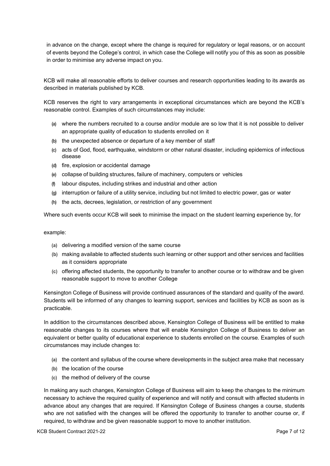in advance on the change, except where the change is required for regulatory or legal reasons, or on account of events beyond the College's control, in which case the College will notify you of this as soon as possible in order to minimise any adverse impact on you.

KCB will make all reasonable efforts to deliver courses and research opportunities leading to its awards as described in materials published by KCB.

KCB reserves the right to vary arrangements in exceptional circumstances which are beyond the KCB's reasonable control. Examples of such circumstances may include:

- **(a)** where the numbers recruited to a course and/or module are so low that it is not possible to deliver an appropriate quality of education to students enrolled on it
- **(b)** the unexpected absence or departure of a key member of staff
- **(c)** acts of God, flood, earthquake, windstorm or other natural disaster, including epidemics of infectious disease
- **(d)** fire, explosion or accidental damage
- **(e)** collapse of building structures, failure of machinery, computers or vehicles
- **(f)** labour disputes, including strikes and industrial and other action
- **(g)** interruption or failure of a utility service, including but not limited to electric power, gas or water
- **(h)** the acts, decrees, legislation, or restriction of any government

Where such events occur KCB will seek to minimise the impact on the student learning experience by, for

#### example:

- **(a)** delivering a modified version of the same course
- **(b)** making available to affected students such learning or other support and other services and facilities as it considers appropriate
- **(c)** offering affected students, the opportunity to transfer to another course or to withdraw and be given reasonable support to move to another College

Kensington College of Business will provide continued assurances of the standard and quality of the award. Students will be informed of any changes to learning support, services and facilities by KCB as soon as is practicable.

In addition to the circumstances described above, Kensington College of Business will be entitled to make reasonable changes to its courses where that will enable Kensington College of Business to deliver an equivalent or better quality of educational experience to students enrolled on the course. Examples of such circumstances may include changes to:

- **(a)** the content and syllabus of the course where developments in the subject area make that necessary
- **(b)** the location of the course
- **(c)** the method of delivery of the course

In making any such changes, Kensington College of Business will aim to keep the changes to the minimum necessary to achieve the required quality of experience and will notify and consult with affected students in advance about any changes that are required. If Kensington College of Business changes a course, students who are not satisfied with the changes will be offered the opportunity to transfer to another course or, if required, to withdraw and be given reasonable support to move to another institution.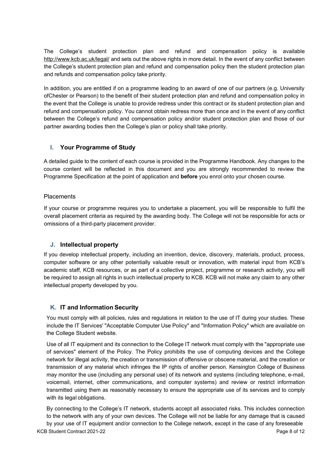The College's student protection plan and refund and compensation policy is available <http://www.kcb.ac.uk/legal/> and sets out the above rights in more detail. In the event of any conflict between the College's student protection plan and refund and compensation policy then the student protection plan and refunds and compensation policy take priority.

In addition, you are entitled if on a programme leading to an award of one of our partners (e.g. University ofChester or Pearson) to the benefit of their student protection plan and refund and compensation policy in the event that the College is unable to provide redress under this contract or its student protection plan and refund and compensation policy. You cannot obtain redress more than once and in the event of any conflict between the College's refund and compensation policy and/or student protection plan and those of our partner awarding bodies then the College's plan or policy shall take priority.

# <span id="page-7-0"></span>**I. Your Programme of Study**

A detailed guide to the content of each course is provided in the Programme Handbook. Any changes to the course content will be reflected in this document and you are strongly recommended to review the Programme Specification at the point of application and **before** you enrol onto your chosen course.

#### **Placements**

If your course or programme requires you to undertake a placement, you will be responsible to fulfil the overall placement criteria as required by the awarding body. The College will not be responsible for acts or omissions of a third-party placement provider.

# **J. Intellectual property**

<span id="page-7-1"></span>If you develop intellectual property, including an invention, device, discovery, materials, product, process, computer software or any other potentially valuable result or innovation, with material input from KCB's academic staff, KCB resources, or as part of a collective project, programme or research activity, you will be required to assign all rights in such intellectual property to KCB. KCB will not make any claim to any other intellectual property developed by you.

# <span id="page-7-2"></span>**K. IT and Information Security**

You must comply with all policies, rules and regulations in relation to the use of IT during your studies. These include the IT Services' "Acceptable Computer Use Policy" and "Information Policy" which are available on the College Student website.

Use of all IT equipment and its connection to the College IT network must comply with the "appropriate use of services" element of the Policy. The Policy prohibits the use of computing devices and the College network for illegal activity, the creation or transmission of offensive or obscene material, and the creation or transmission of any material which infringes the IP rights of another person. Kensington College of Business may monitor the use (including any personal use) of its network and systems (including telephone, e-mail, voicemail, internet, other communications, and computer systems) and review or restrict information transmitted using them as reasonably necessary to ensure the appropriate use of its services and to comply with its legal obligations.

KCB Student Contract 2021-22 **Page 8 of 12** Page 8 of 12 By connecting to the College's IT network, students accept all associated risks. This includes connection to the network with any of your own devices. The College will not be liable for any damage that is caused by your use of IT equipment and/or connection to the College network, except in the case of any foreseeable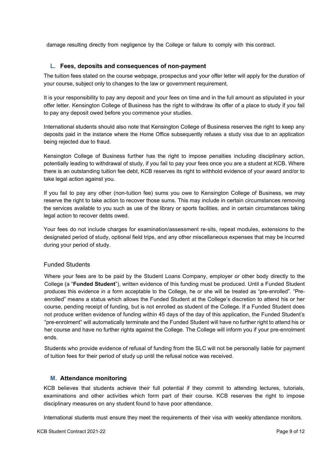damage resulting directly from negligence by the College or failure to comply with this contract.

#### **L. Fees, deposits and consequences of non-payment**

<span id="page-8-0"></span>The tuition fees stated on the course webpage, prospectus and your offer letter will apply for the duration of your course, subject only to changes to the law or government requirement.

It is your responsibility to pay any deposit and your fees on time and in the full amount as stipulated in your offer letter. Kensington College of Business has the right to withdraw its offer of a place to study if you fail to pay any deposit owed before you commence your studies.

International students should also note that Kensington College of Business reserves the right to keep any deposits paid in the instance where the Home Office subsequently refuses a study visa due to an application being rejected due to fraud.

Kensington College of Business further has the right to impose penalties including disciplinary action, potentially leading to withdrawal of study, if you fail to pay your fees once you are a student at KCB. Where there is an outstanding tuition fee debt, KCB reserves its right to withhold evidence of your award and/or to take legal action against you.

If you fail to pay any other (non-tuition fee) sums you owe to Kensington College of Business, we may reserve the right to take action to recover those sums. This may include in certain circumstances removing the services available to you such as use of the library or sports facilities, and in certain circumstances taking legal action to recover debts owed.

Your fees do not include charges for examination/assessment re-sits, repeat modules, extensions to the designated period of study, optional field trips, and any other miscellaneous expenses that may be incurred during your period of study.

#### Funded Students

Where your fees are to be paid by the Student Loans Company, employer or other body directly to the College (a "**Funded Student**"), written evidence of this funding must be produced. Until a Funded Student produces this evidence in a form acceptable to the College, he or she will be treated as "pre-enrolled". "Preenrolled" means a status which allows the Funded Student at the College's discretion to attend his or her course, pending receipt of funding, but is not enrolled as student of the College. If a Funded Student does not produce written evidence of funding within 45 days of the day of this application, the Funded Student's "pre-enrolment" will automatically terminate and the Funded Student will have no further right to attend his or her course and have no further rights against the College. The College will inform you if your pre-enrolment ends.

Students who provide evidence of refusal of funding from the SLC will not be personally liable for payment of tuition fees for their period of study up until the refusal notice was received.

#### **M. Attendance monitoring**

<span id="page-8-1"></span>KCB believes that students achieve their full potential if they commit to attending lectures, tutorials, examinations and other activities which form part of their course. KCB reserves the right to impose disciplinary measures on any student found to have poor attendance.

International students must ensure they meet the requirements of their visa with weekly attendance monitors.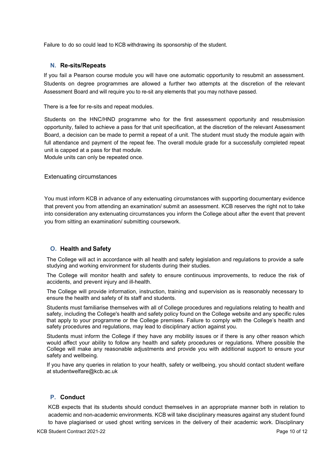Failure to do so could lead to KCB withdrawing its sponsorship of the student.

#### **N. Re-sits/Repeats**

<span id="page-9-0"></span>If you fail a Pearson course module you will have one automatic opportunity to resubmit an assessment. Students on degree programmes are allowed a further two attempts at the discretion of the relevant Assessment Board and will require you to re-sit any elements that you may nothave passed.

There is a fee for re-sits and repeat modules.

Students on the HNC/HND programme who for the first assessment opportunity and resubmission opportunity, failed to achieve a pass for that unit specification, at the discretion of the relevant Assessment Board, a decision can be made to permit a repeat of a unit. The student must study the module again with full attendance and payment of the repeat fee. The overall module grade for a successfully completed repeat unit is capped at a pass for that module.

Module units can only be repeated once.

#### Extenuating circumstances

You must inform KCB in advance of any extenuating circumstances with supporting documentary evidence that prevent you from attending an examination/ submit an assessment. KCB reserves the right not to take into consideration any extenuating circumstances you inform the College about after the event that prevent you from sitting an examination/ submitting coursework.

#### <span id="page-9-1"></span>**O. Health and Safety**

The College will act in accordance with all health and safety legislation and regulations to provide a safe studying and working environment for students during their studies.

The College will monitor health and safety to ensure continuous improvements, to reduce the risk of accidents, and prevent injury and ill-health.

The College will provide information, instruction, training and supervision as is reasonably necessary to ensure the health and safety of its staff and students.

Students must familiarise themselves with all of College procedures and regulations relating to health and safety, including the College's health and safety policy found on the College website and any specific rules that apply to your programme or the College premises. Failure to comply with the College's health and safety procedures and regulations, may lead to disciplinary action against you.

Students must inform the College if they have any mobility issues or if there is any other reason which would affect your ability to follow any health and safety procedures or regulations. Where possible the College will make any reasonable adjustments and provide you with additional support to ensure your safety and wellbeing.

If you have any queries in relation to your health, safety or wellbeing, you should contact student welfare at [studentwelfare@kcb.ac.uk](mailto:studentwelfare@kcb.ac.uk)

# <span id="page-9-2"></span>**P. Conduct**

KCB expects that its students should conduct themselves in an appropriate manner both in relation to academic and non-academic environments. KCB will take disciplinary measures against any student found to have plagiarised or used ghost writing services in the delivery of their academic work. Disciplinary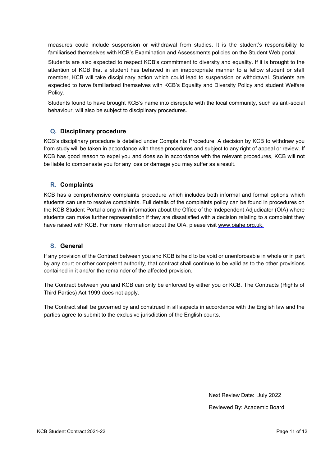measures could include suspension or withdrawal from studies. It is the student's responsibility to familiarised themselves with KCB's Examination and Assessments policies on the Student Web portal.

Students are also expected to respect KCB's commitment to diversity and equality. If it is brought to the attention of KCB that a student has behaved in an inappropriate manner to a fellow student or staff member, KCB will take disciplinary action which could lead to suspension or withdrawal. Students are expected to have familiarised themselves with KCB's Equality and Diversity Policy and student Welfare Policy.

Students found to have brought KCB's name into disrepute with the local community, such as anti-social behaviour, will also be subject to disciplinary procedures.

# **Q. Disciplinary procedure**

<span id="page-10-0"></span>KCB's disciplinary procedure is detailed under Complaints Procedure. A decision by KCB to withdraw you from study will be taken in accordance with these procedures and subject to any right of appeal or review. If KCB has good reason to expel you and does so in accordance with the relevant procedures, KCB will not be liable to compensate you for any loss or damage you may suffer as a result.

# **R. Complaints**

<span id="page-10-1"></span>KCB has a comprehensive complaints procedure which includes both informal and formal options which students can use to resolve complaints. Full details of the complaints policy can be found in procedures on the KCB Student Portal along with information about the Office of the Independent Adjudicator (OIA) where students can make further representation if they are dissatisfied with a decision relating to a complaint they have raised with KCB. For more information about the OIA, please visit [www.oiahe.org.uk.](http://www.oiahe.org.uk/)

# **S. General**

<span id="page-10-2"></span>If any provision of the Contract between you and KCB is held to be void or unenforceable in whole or in part by any court or other competent authority, that contract shall continue to be valid as to the other provisions contained in it and/or the remainder of the affected provision.

The Contract between you and KCB can only be enforced by either you or KCB. The Contracts (Rights of Third Parties) Act 1999 does not apply.

The Contract shall be governed by and construed in all aspects in accordance with the English law and the parties agree to submit to the exclusive jurisdiction of the English courts.

> Next Review Date: July 2022 Reviewed By: Academic Board